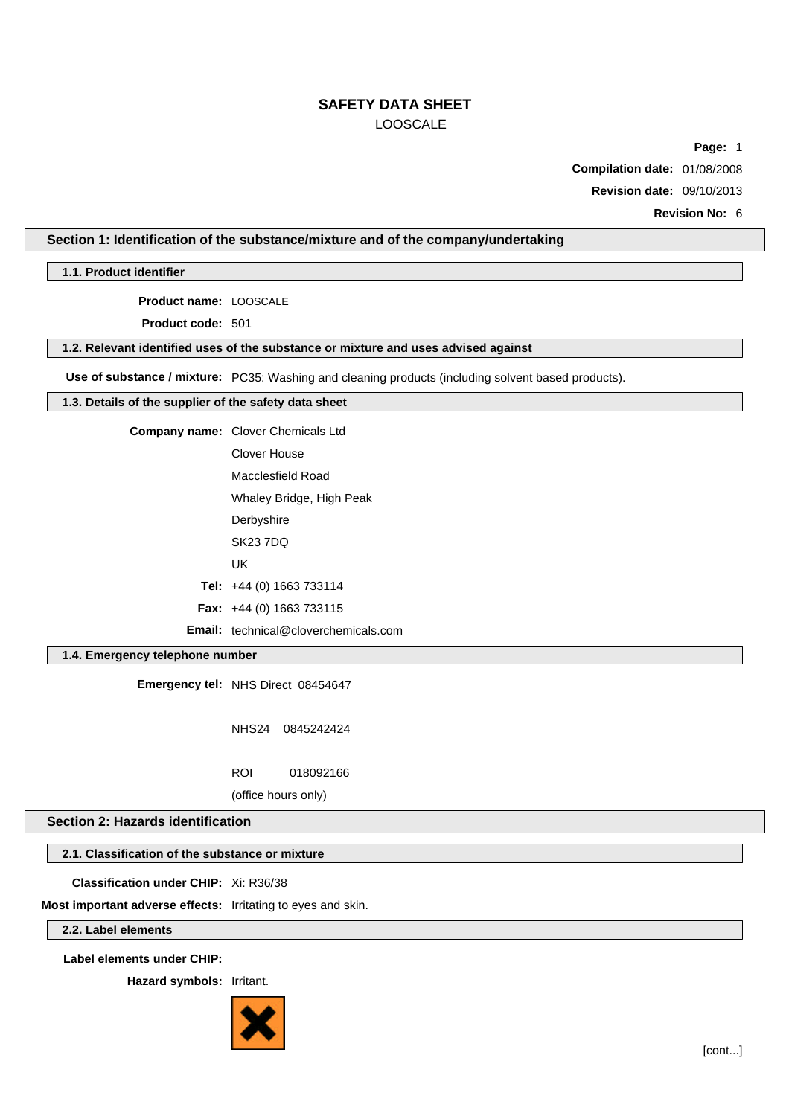**Page:** 1

**Compilation date:** 01/08/2008

**Revision date:** 09/10/2013

**Revision No:** 6

## **Section 1: Identification of the substance/mixture and of the company/undertaking**

**1.1. Product identifier**

**Product name:** LOOSCALE

**Product code:** 501

**1.2. Relevant identified uses of the substance or mixture and uses advised against**

**Use of substance / mixture:** PC35: Washing and cleaning products (including solvent based products).

## **1.3. Details of the supplier of the safety data sheet**

**Company name:** Clover Chemicals Ltd

Clover House Macclesfield Road

Whaley Bridge, High Peak

**Derbyshire** 

SK23 7DQ

UK

**Tel:** +44 (0) 1663 733114

**Fax:** +44 (0) 1663 733115

**Email:** technical@cloverchemicals.com

# **1.4. Emergency telephone number**

**Emergency tel:** NHS Direct 08454647

NHS24 0845242424

ROI 018092166

(office hours only)

## **Section 2: Hazards identification**

### **2.1. Classification of the substance or mixture**

**Classification under CHIP:** Xi: R36/38

**Most important adverse effects:** Irritating to eyes and skin.

**2.2. Label elements**

**Label elements under CHIP:**

**Hazard symbols:** Irritant.

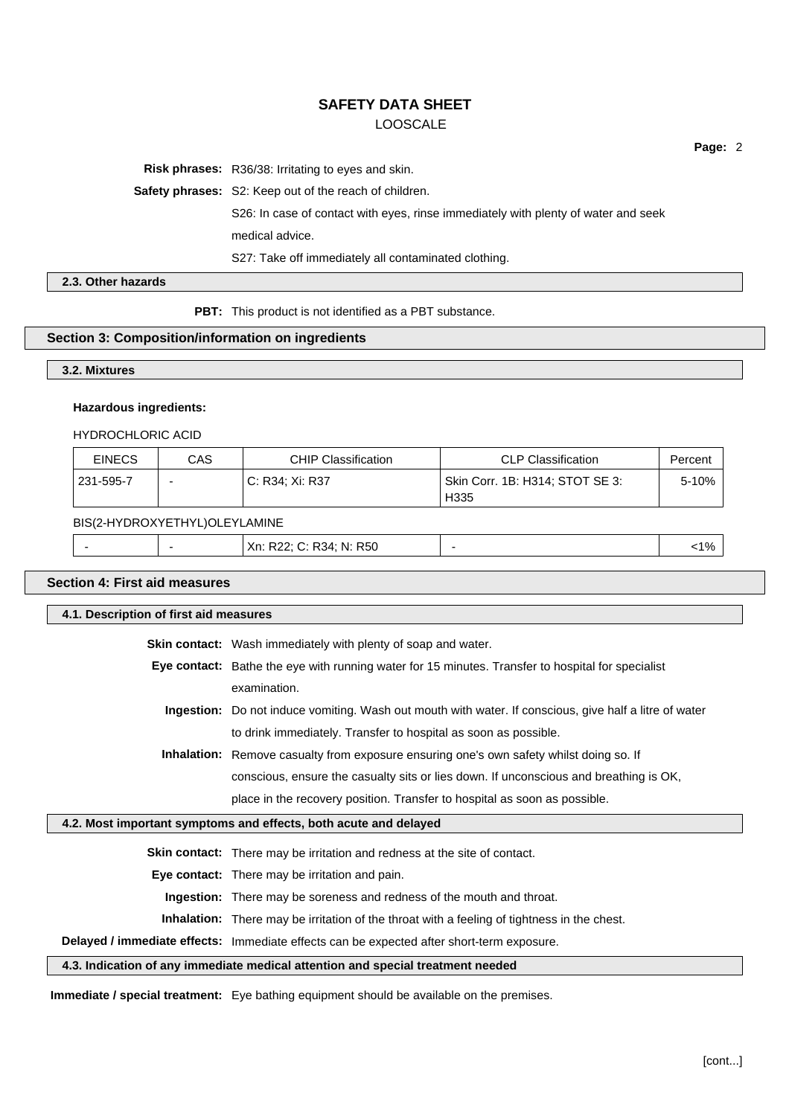**Risk phrases:** R36/38: Irritating to eyes and skin.

**Safety phrases:** S2: Keep out of the reach of children.

S26: In case of contact with eyes, rinse immediately with plenty of water and seek medical advice.

S27: Take off immediately all contaminated clothing.

**2.3. Other hazards**

**PBT:** This product is not identified as a PBT substance.

#### **Section 3: Composition/information on ingredients**

**3.2. Mixtures**

#### **Hazardous ingredients:**

HYDROCHLORIC ACID

| <b>EINECS</b> | CAS | <b>CHIP Classification</b> | <b>CLP Classification</b>               | Percent |
|---------------|-----|----------------------------|-----------------------------------------|---------|
| 231-595-7     | -   | C: R34: Xi: R37            | Skin Corr. 1B: H314; STOT SE 3:<br>H335 | 5-10%   |

#### BIS(2-HYDROXYETHYL)OLEYLAMINE

|  |  |  | $V_{\rm m}$<br>- N.<br>37<br>, IN: R50<br>AN. RZZ,<br>$\ddotsc$<br>_____ |  | 1% |
|--|--|--|--------------------------------------------------------------------------|--|----|
|--|--|--|--------------------------------------------------------------------------|--|----|

# **Section 4: First aid measures**

**4.1. Description of first aid measures**

**Skin contact:** Wash immediately with plenty of soap and water.

- **Eye contact:** Bathe the eye with running water for 15 minutes. Transfer to hospital for specialist examination.
	- **Ingestion:** Do not induce vomiting. Wash out mouth with water. If conscious, give half a litre of water to drink immediately. Transfer to hospital as soon as possible.

**Inhalation:** Remove casualty from exposure ensuring one's own safety whilst doing so. If

conscious, ensure the casualty sits or lies down. If unconscious and breathing is OK,

place in the recovery position. Transfer to hospital as soon as possible.

## **4.2. Most important symptoms and effects, both acute and delayed**

**Skin contact:** There may be irritation and redness at the site of contact.

**Eye contact:** There may be irritation and pain.

**Ingestion:** There may be soreness and redness of the mouth and throat.

**Inhalation:** There may be irritation of the throat with a feeling of tightness in the chest.

**Delayed / immediate effects:** Immediate effects can be expected after short-term exposure.

# **4.3. Indication of any immediate medical attention and special treatment needed**

**Immediate / special treatment:** Eye bathing equipment should be available on the premises.

**Page:** 2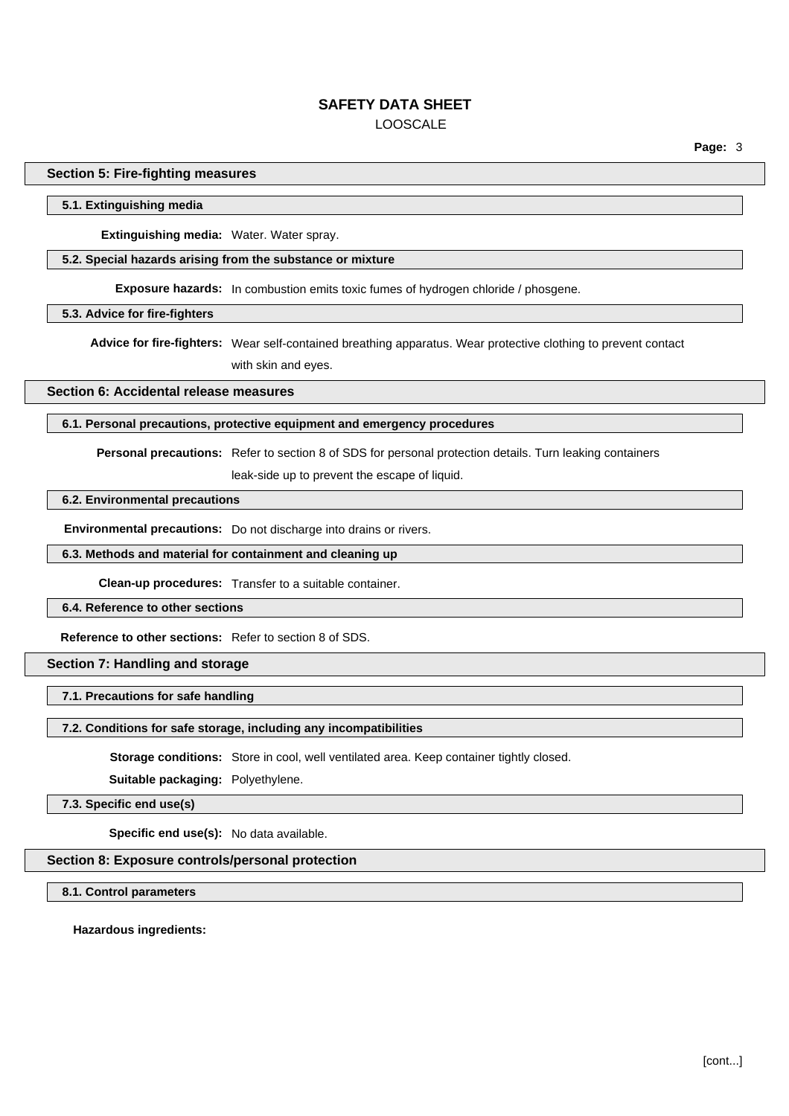**Page:** 3

#### **Section 5: Fire-fighting measures**

#### **5.1. Extinguishing media**

**Extinguishing media:** Water. Water spray.

#### **5.2. Special hazards arising from the substance or mixture**

**Exposure hazards:** In combustion emits toxic fumes of hydrogen chloride / phosgene.

**5.3. Advice for fire-fighters**

**Advice for fire-fighters:** Wear self-contained breathing apparatus. Wear protective clothing to prevent contact with skin and eyes.

#### **Section 6: Accidental release measures**

#### **6.1. Personal precautions, protective equipment and emergency procedures**

**Personal precautions:** Refer to section 8 of SDS for personal protection details. Turn leaking containers

leak-side up to prevent the escape of liquid.

## **6.2. Environmental precautions**

**Environmental precautions:** Do not discharge into drains or rivers.

#### **6.3. Methods and material for containment and cleaning up**

**Clean-up procedures:** Transfer to a suitable container.

#### **6.4. Reference to other sections**

**Reference to other sections:** Refer to section 8 of SDS.

## **Section 7: Handling and storage**

# **7.1. Precautions for safe handling**

#### **7.2. Conditions for safe storage, including any incompatibilities**

**Storage conditions:** Store in cool, well ventilated area. Keep container tightly closed.

**Suitable packaging:** Polyethylene.

**7.3. Specific end use(s)**

**Specific end use(s):** No data available.

#### **Section 8: Exposure controls/personal protection**

**8.1. Control parameters**

**Hazardous ingredients:**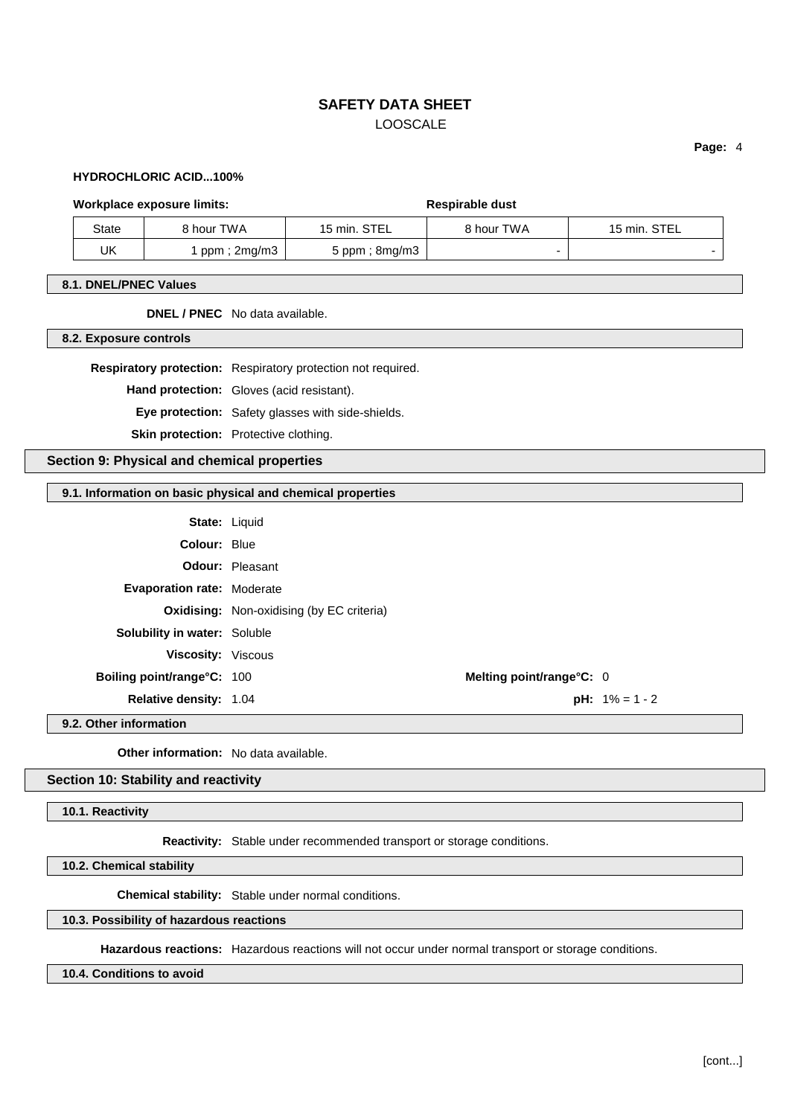**Page:** 4

### **HYDROCHLORIC ACID...100%**

#### Workplace exposure limits: **Respirable dust** Respirable dust

| State | 8 hour TWA   | 15 min. STEL          | 8 hour TWA               | 15 min. STEL |  |
|-------|--------------|-----------------------|--------------------------|--------------|--|
| UK    | ppm ; 2mg/m3 | $5$ ppm; $8$ mg/m $3$ | $\overline{\phantom{0}}$ |              |  |

#### **8.1. DNEL/PNEC Values**

## **DNEL / PNEC** No data available.

**8.2. Exposure controls**

**Respiratory protection:** Respiratory protection not required.

**Hand protection:** Gloves (acid resistant).

**Eye protection:** Safety glasses with side-shields.

**Skin protection:** Protective clothing.

## **Section 9: Physical and chemical properties**

#### **9.1. Information on basic physical and chemical properties**

|                                     | <b>State: Liquid</b>                             |                          |
|-------------------------------------|--------------------------------------------------|--------------------------|
| Colour: Blue                        |                                                  |                          |
|                                     | <b>Odour: Pleasant</b>                           |                          |
| <b>Evaporation rate: Moderate</b>   |                                                  |                          |
|                                     | <b>Oxidising:</b> Non-oxidising (by EC criteria) |                          |
| <b>Solubility in water: Soluble</b> |                                                  |                          |
| Viscosity: Viscous                  |                                                  |                          |
| <b>Boiling point/range°C: 100</b>   | Melting point/range°C: 0                         |                          |
| Relative density: 1.04              |                                                  | <b>pH:</b> $1\% = 1 - 2$ |
|                                     |                                                  |                          |

#### **9.2. Other information**

**Other information:** No data available.

# **Section 10: Stability and reactivity**

**10.1. Reactivity**

**Reactivity:** Stable under recommended transport or storage conditions.

**10.2. Chemical stability**

**Chemical stability:** Stable under normal conditions.

# **10.3. Possibility of hazardous reactions**

**Hazardous reactions:** Hazardous reactions will not occur under normal transport or storage conditions.

#### **10.4. Conditions to avoid**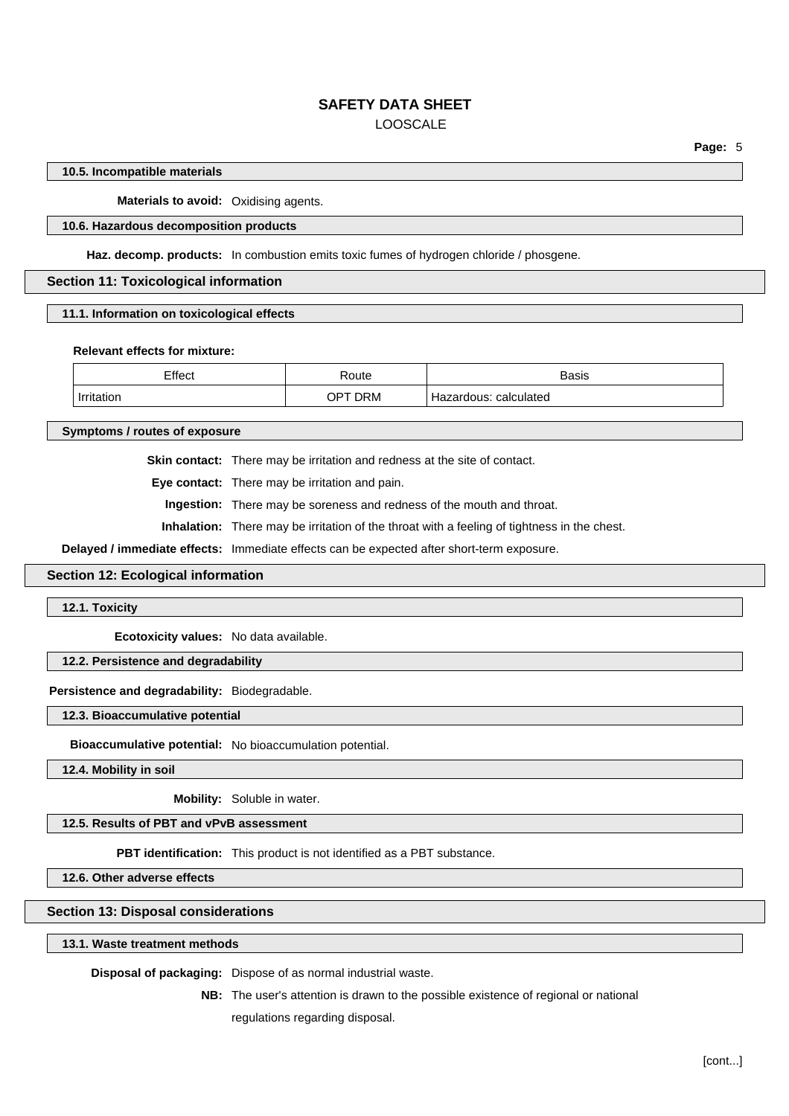#### **10.5. Incompatible materials**

**Materials to avoid:** Oxidising agents.

#### **10.6. Hazardous decomposition products**

**Haz. decomp. products:** In combustion emits toxic fumes of hydrogen chloride / phosgene.

**Section 11: Toxicological information**

**11.1. Information on toxicological effects**

#### **Relevant effects for mixture:**

| Effect     | Route   | <b>Basis</b>          |
|------------|---------|-----------------------|
| Irritation | OPT DRM | Hazardous: calculated |

**Symptoms / routes of exposure**

**Skin contact:** There may be irritation and redness at the site of contact.

**Eye contact:** There may be irritation and pain.

**Ingestion:** There may be soreness and redness of the mouth and throat.

**Inhalation:** There may be irritation of the throat with a feeling of tightness in the chest.

**Delayed / immediate effects:** Immediate effects can be expected after short-term exposure.

**Section 12: Ecological information**

**12.1. Toxicity**

**Ecotoxicity values:** No data available.

## **12.2. Persistence and degradability**

**Persistence and degradability:** Biodegradable.

**12.3. Bioaccumulative potential**

**Bioaccumulative potential:** No bioaccumulation potential.

**12.4. Mobility in soil**

**Mobility:** Soluble in water.

**12.5. Results of PBT and vPvB assessment**

**PBT identification:** This product is not identified as a PBT substance.

**12.6. Other adverse effects**

#### **Section 13: Disposal considerations**

**13.1. Waste treatment methods**

**Disposal of packaging:** Dispose of as normal industrial waste.

**NB:** The user's attention is drawn to the possible existence of regional or national regulations regarding disposal.